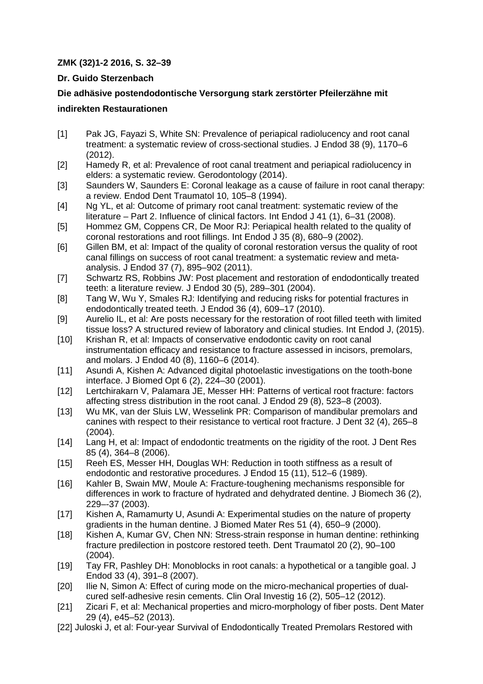## **ZMK (32)1-2 2016, S. 32–39**

## **Dr. Guido Sterzenbach**

## **Die adhäsive postendodontische Versorgung stark zerstörter Pfeilerzähne mit**

## **indirekten Restaurationen**

- [1] Pak JG, Fayazi S, White SN: Prevalence of periapical radiolucency and root canal treatment: a systematic review of cross-sectional studies. J Endod 38 (9), 1170–6 (2012).
- [2] Hamedy R, et al: Prevalence of root canal treatment and periapical radiolucency in elders: a systematic review. Gerodontology (2014).
- [3] Saunders W, Saunders E: Coronal leakage as a cause of failure in root canal therapy: a review. Endod Dent Traumatol 10, 105–8 (1994).
- [4] Ng YL, et al: Outcome of primary root canal treatment: systematic review of the literature – Part 2. Influence of clinical factors. Int Endod J 41 (1), 6–31 (2008).
- [5] Hommez GM, Coppens CR, De Moor RJ: Periapical health related to the quality of coronal restorations and root fillings. Int Endod J 35 (8), 680–9 (2002).
- [6] Gillen BM, et al: Impact of the quality of coronal restoration versus the quality of root canal fillings on success of root canal treatment: a systematic review and metaanalysis. J Endod 37 (7), 895–902 (2011).
- [7] Schwartz RS, Robbins JW: Post placement and restoration of endodontically treated teeth: a literature review. J Endod 30 (5), 289–301 (2004).
- [8] Tang W, Wu Y, Smales RJ: Identifying and reducing risks for potential fractures in endodontically treated teeth. J Endod 36 (4), 609–17 (2010).
- [9] Aurelio IL, et al: Are posts necessary for the restoration of root filled teeth with limited tissue loss? A structured review of laboratory and clinical studies. Int Endod J, (2015).
- [10] Krishan R, et al: Impacts of conservative endodontic cavity on root canal instrumentation efficacy and resistance to fracture assessed in incisors, premolars, and molars. J Endod 40 (8), 1160–6 (2014).
- [11] Asundi A, Kishen A: Advanced digital photoelastic investigations on the tooth-bone interface. J Biomed Opt 6 (2), 224–30 (2001).
- [12] Lertchirakarn V, Palamara JE, Messer HH: Patterns of vertical root fracture: factors affecting stress distribution in the root canal. J Endod 29 (8), 523–8 (2003).
- [13] Wu MK, van der Sluis LW, Wesselink PR: Comparison of mandibular premolars and canines with respect to their resistance to vertical root fracture. J Dent 32 (4), 265–8 (2004).
- [14] Lang H, et al: Impact of endodontic treatments on the rigidity of the root. J Dent Res 85 (4), 364–8 (2006).
- [15] Reeh ES, Messer HH, Douglas WH: Reduction in tooth stiffness as a result of endodontic and restorative procedures. J Endod 15 (11), 512–6 (1989).
- [16] Kahler B, Swain MW, Moule A: Fracture-toughening mechanisms responsible for differences in work to fracture of hydrated and dehydrated dentine. J Biomech 36 (2), 229–-37 (2003).
- [17] Kishen A, Ramamurty U, Asundi A: Experimental studies on the nature of property gradients in the human dentine. J Biomed Mater Res 51 (4), 650–9 (2000).
- [18] Kishen A, Kumar GV, Chen NN: Stress-strain response in human dentine: rethinking fracture predilection in postcore restored teeth. Dent Traumatol 20 (2), 90–100 (2004).
- [19] Tay FR, Pashley DH: Monoblocks in root canals: a hypothetical or a tangible goal. J Endod 33 (4), 391–8 (2007).
- [20] Ilie N, Simon A: Effect of curing mode on the micro-mechanical properties of dualcured self-adhesive resin cements. Clin Oral Investig 16 (2), 505–12 (2012).
- [21] Zicari F, et al: Mechanical properties and micro-morphology of fiber posts. Dent Mater 29 (4), e45–52 (2013).
- [22] Juloski J, et al: Four-year Survival of Endodontically Treated Premolars Restored with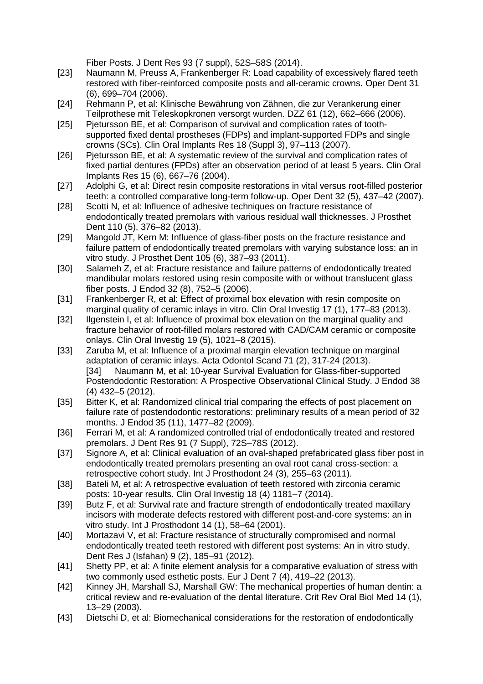Fiber Posts. J Dent Res 93 (7 suppl), 52S–58S (2014).

- [23] Naumann M, Preuss A, Frankenberger R: Load capability of excessively flared teeth restored with fiber-reinforced composite posts and all-ceramic crowns. Oper Dent 31 (6), 699–704 (2006).
- [24] Rehmann P, et al: Klinische Bewährung von Zähnen, die zur Verankerung einer Teilprothese mit Teleskopkronen versorgt wurden. DZZ 61 (12), 662–666 (2006).
- [25] Pjetursson BE, et al: Comparison of survival and complication rates of toothsupported fixed dental prostheses (FDPs) and implant-supported FDPs and single crowns (SCs). Clin Oral Implants Res 18 (Suppl 3), 97–113 (2007).
- [26] Pjetursson BE, et al: A systematic review of the survival and complication rates of fixed partial dentures (FPDs) after an observation period of at least 5 years. Clin Oral Implants Res 15 (6), 667–76 (2004).
- [27] Adolphi G, et al: Direct resin composite restorations in vital versus root-filled posterior teeth: a controlled comparative long-term follow-up. Oper Dent 32 (5), 437–42 (2007).
- [28] Scotti N, et al: Influence of adhesive techniques on fracture resistance of endodontically treated premolars with various residual wall thicknesses. J Prosthet Dent 110 (5), 376–82 (2013).
- [29] Mangold JT, Kern M: Influence of glass-fiber posts on the fracture resistance and failure pattern of endodontically treated premolars with varying substance loss: an in vitro study. J Prosthet Dent 105 (6), 387–93 (2011).
- [30] Salameh Z, et al: Fracture resistance and failure patterns of endodontically treated mandibular molars restored using resin composite with or without translucent glass fiber posts. J Endod 32 (8), 752–5 (2006).
- [31] Frankenberger R, et al: Effect of proximal box elevation with resin composite on marginal quality of ceramic inlays in vitro. Clin Oral Investig 17 (1), 177–83 (2013).
- [32] Ilgenstein I, et al: Influence of proximal box elevation on the marginal quality and fracture behavior of root-filled molars restored with CAD/CAM ceramic or composite onlays. Clin Oral Investig 19 (5), 1021–8 (2015).
- [33] Zaruba M, et al: Influence of a proximal margin elevation technique on marginal adaptation of ceramic inlays. Acta Odontol Scand 71 (2), 317-24 (2013). [34] Naumann M, et al: 10-year Survival Evaluation for Glass-fiber-supported Postendodontic Restoration: A Prospective Observational Clinical Study. J Endod 38 (4) 432–5 (2012).
- [35] Bitter K, et al: Randomized clinical trial comparing the effects of post placement on failure rate of postendodontic restorations: preliminary results of a mean period of 32 months. J Endod 35 (11), 1477–82 (2009).
- [36] Ferrari M, et al: A randomized controlled trial of endodontically treated and restored premolars. J Dent Res 91 (7 Suppl), 72S–78S (2012).
- [37] Signore A, et al: Clinical evaluation of an oval-shaped prefabricated glass fiber post in endodontically treated premolars presenting an oval root canal cross-section: a retrospective cohort study. Int J Prosthodont 24 (3), 255–63 (2011).
- [38] Bateli M, et al: A retrospective evaluation of teeth restored with zirconia ceramic posts: 10-year results. Clin Oral Investig 18 (4) 1181–7 (2014).
- [39] Butz F, et al: Survival rate and fracture strength of endodontically treated maxillary incisors with moderate defects restored with different post-and-core systems: an in vitro study. Int J Prosthodont 14 (1), 58–64 (2001).
- [40] Mortazavi V, et al: Fracture resistance of structurally compromised and normal endodontically treated teeth restored with different post systems: An in vitro study. Dent Res J (Isfahan) 9 (2), 185–91 (2012).
- [41] Shetty PP, et al: A finite element analysis for a comparative evaluation of stress with two commonly used esthetic posts. Eur J Dent 7 (4), 419–22 (2013).
- [42] Kinney JH, Marshall SJ, Marshall GW: The mechanical properties of human dentin: a critical review and re-evaluation of the dental literature. Crit Rev Oral Biol Med 14 (1), 13–29 (2003).
- [43] Dietschi D, et al: Biomechanical considerations for the restoration of endodontically